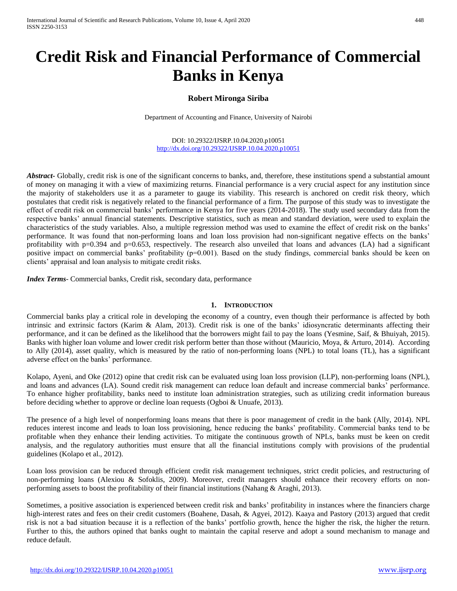# **Credit Risk and Financial Performance of Commercial Banks in Kenya**

## **Robert Mironga Siriba**

Department of Accounting and Finance, University of Nairobi

DOI: 10.29322/IJSRP.10.04.2020.p10051 <http://dx.doi.org/10.29322/IJSRP.10.04.2020.p10051>

Abstract<sub>r</sub> Globally, credit risk is one of the significant concerns to banks, and, therefore, these institutions spend a substantial amount of money on managing it with a view of maximizing returns. Financial performance is a very crucial aspect for any institution since the majority of stakeholders use it as a parameter to gauge its viability. This research is anchored on credit risk theory, which postulates that credit risk is negatively related to the financial performance of a firm. The purpose of this study was to investigate the effect of credit risk on commercial banks' performance in Kenya for five years (2014-2018). The study used secondary data from the respective banks' annual financial statements. Descriptive statistics, such as mean and standard deviation, were used to explain the characteristics of the study variables. Also, a multiple regression method was used to examine the effect of credit risk on the banks' performance. It was found that non-performing loans and loan loss provision had non-significant negative effects on the banks' profitability with  $p=0.394$  and  $p=0.653$ , respectively. The research also unveiled that loans and advances (LA) had a significant positive impact on commercial banks' profitability (p=0.001). Based on the study findings, commercial banks should be keen on clients' appraisal and loan analysis to mitigate credit risks.

*Index Terms*- Commercial banks, Credit risk, secondary data, performance

#### **1. INTRODUCTION**

Commercial banks play a critical role in developing the economy of a country, even though their performance is affected by both intrinsic and extrinsic factors (Karim & Alam, 2013). Credit risk is one of the banks' idiosyncratic determinants affecting their performance, and it can be defined as the likelihood that the borrowers might fail to pay the loans (Yesmine, Saif, & Bhuiyah, 2015). Banks with higher loan volume and lower credit risk perform better than those without (Mauricio, Moya, & Arturo, 2014). According to Ally (2014), asset quality, which is measured by the ratio of non-performing loans (NPL) to total loans (TL), has a significant adverse effect on the banks' performance.

Kolapo, Ayeni, and Oke (2012) opine that credit risk can be evaluated using loan loss provision (LLP), non-performing loans (NPL), and loans and advances (LA). Sound credit risk management can reduce loan default and increase commercial banks' performance. To enhance higher profitability, banks need to institute loan administration strategies, such as utilizing credit information bureaus before deciding whether to approve or decline loan requests (Ogboi & Unuafe, 2013).

The presence of a high level of nonperforming loans means that there is poor management of credit in the bank (Ally, 2014). NPL reduces interest income and leads to loan loss provisioning, hence reducing the banks' profitability. Commercial banks tend to be profitable when they enhance their lending activities. To mitigate the continuous growth of NPLs, banks must be keen on credit analysis, and the regulatory authorities must ensure that all the financial institutions comply with provisions of the prudential guidelines (Kolapo et al., 2012).

Loan loss provision can be reduced through efficient credit risk management techniques, strict credit policies, and restructuring of non-performing loans (Alexiou & Sofoklis, 2009). Moreover, credit managers should enhance their recovery efforts on nonperforming assets to boost the profitability of their financial institutions (Nahang & Araghi, 2013).

Sometimes, a positive association is experienced between credit risk and banks' profitability in instances where the financiers charge high-interest rates and fees on their credit customers (Boahene, Dasah, & Agyei, 2012). Kaaya and Pastory (2013) argued that credit risk is not a bad situation because it is a reflection of the banks' portfolio growth, hence the higher the risk, the higher the return. Further to this, the authors opined that banks ought to maintain the capital reserve and adopt a sound mechanism to manage and reduce default.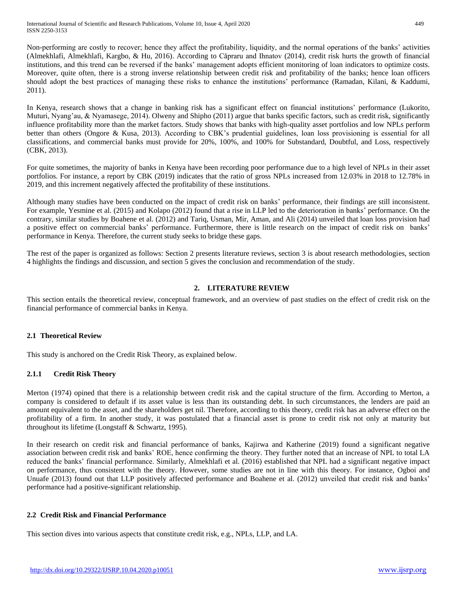Non-performing are costly to recover; hence they affect the profitability, liquidity, and the normal operations of the banks' activities (Almekhlafi, Almekhlafi, Kargbo, & Hu, 2016). According to Căpraru and Ihnatov (2014), credit risk hurts the growth of financial institutions, and this trend can be reversed if the banks' management adopts efficient monitoring of loan indicators to optimize costs. Moreover, quite often, there is a strong inverse relationship between credit risk and profitability of the banks; hence loan officers should adopt the best practices of managing these risks to enhance the institutions' performance (Ramadan, Kilani, & Kaddumi, 2011).

In Kenya, research shows that a change in banking risk has a significant effect on financial institutions' performance (Lukorito, Muturi, Nyang'au, & Nyamasege, 2014). Olweny and Shipho (2011) argue that banks specific factors, such as credit risk, significantly influence profitability more than the market factors. Study shows that banks with high-quality asset portfolios and low NPLs perform better than others (Ongore & Kusa, 2013). According to CBK's prudential guidelines, loan loss provisioning is essential for all classifications, and commercial banks must provide for 20%, 100%, and 100% for Substandard, Doubtful, and Loss, respectively (CBK, 2013).

For quite sometimes, the majority of banks in Kenya have been recording poor performance due to a high level of NPLs in their asset portfolios. For instance, a report by CBK (2019) indicates that the ratio of gross NPLs increased from 12.03% in 2018 to 12.78% in 2019, and this increment negatively affected the profitability of these institutions.

Although many studies have been conducted on the impact of credit risk on banks' performance, their findings are still inconsistent. For example, Yesmine et al. (2015) and Kolapo (2012) found that a rise in LLP led to the deterioration in banks' performance. On the contrary, similar studies by Boahene et al. (2012) and Tariq, Usman, Mir, Aman, and Ali (2014) unveiled that loan loss provision had a positive effect on commercial banks' performance. Furthermore, there is little research on the impact of credit risk on banks' performance in Kenya. Therefore, the current study seeks to bridge these gaps.

The rest of the paper is organized as follows: Section 2 presents literature reviews, section 3 is about research methodologies, section 4 highlights the findings and discussion, and section 5 gives the conclusion and recommendation of the study.

## **2. LITERATURE REVIEW**

This section entails the theoretical review, conceptual framework, and an overview of past studies on the effect of credit risk on the financial performance of commercial banks in Kenya.

## **2.1 Theoretical Review**

This study is anchored on the Credit Risk Theory, as explained below.

## **2.1.1 Credit Risk Theory**

Merton (1974) opined that there is a relationship between credit risk and the capital structure of the firm. According to Merton, a company is considered to default if its asset value is less than its outstanding debt. In such circumstances, the lenders are paid an amount equivalent to the asset, and the shareholders get nil. Therefore, according to this theory, credit risk has an adverse effect on the profitability of a firm. In another study, it was postulated that a financial asset is prone to credit risk not only at maturity but throughout its lifetime (Longstaff & Schwartz, 1995).

In their research on credit risk and financial performance of banks, Kajirwa and Katherine (2019) found a significant negative association between credit risk and banks' ROE, hence confirming the theory. They further noted that an increase of NPL to total LA reduced the banks' financial performance. Similarly, Almekhlafi et al. (2016) established that NPL had a significant negative impact on performance, thus consistent with the theory. However, some studies are not in line with this theory. For instance, Ogboi and Unuafe (2013) found out that LLP positively affected performance and Boahene et al. (2012) unveiled that credit risk and banks' performance had a positive-significant relationship.

## **2.2 Credit Risk and Financial Performance**

This section dives into various aspects that constitute credit risk, e.g., NPLs, LLP, and LA.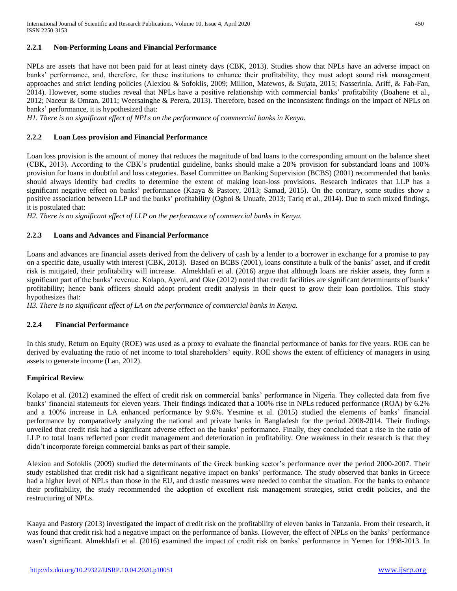## **2.2.1 Non-Performing Loans and Financial Performance**

NPLs are assets that have not been paid for at least ninety days (CBK, 2013). Studies show that NPLs have an adverse impact on banks' performance, and, therefore, for these institutions to enhance their profitability, they must adopt sound risk management approaches and strict lending policies (Alexiou & Sofoklis, 2009; Million, Matewos, & Sujata, 2015; Nasserinia, Ariff, & Fah-Fan, 2014). However, some studies reveal that NPLs have a positive relationship with commercial banks' profitability (Boahene et al., 2012; Naceur & Omran, 2011; Weersainghe & Perera, 2013). Therefore, based on the inconsistent findings on the impact of NPLs on banks' performance, it is hypothesized that:

*H1. There is no significant effect of NPLs on the performance of commercial banks in Kenya.*

## **2.2.2 Loan Loss provision and Financial Performance**

Loan loss provision is the amount of money that reduces the magnitude of bad loans to the corresponding amount on the balance sheet (CBK, 2013). According to the CBK's prudential guideline, banks should make a 20% provision for substandard loans and 100% provision for loans in doubtful and loss categories. Basel Committee on Banking Supervision (BCBS) (2001) recommended that banks should always identify bad credits to determine the extent of making loan-loss provisions. Research indicates that LLP has a significant negative effect on banks' performance (Kaaya & Pastory, 2013; Samad, 2015). On the contrary, some studies show a positive association between LLP and the banks' profitability (Ogboi & Unuafe, 2013; Tariq et al., 2014). Due to such mixed findings, it is postulated that:

*H2. There is no significant effect of LLP on the performance of commercial banks in Kenya.*

## **2.2.3 Loans and Advances and Financial Performance**

Loans and advances are financial assets derived from the delivery of cash by a lender to a borrower in exchange for a promise to pay on a specific date, usually with interest (CBK, 2013). Based on BCBS (2001), loans constitute a bulk of the banks' asset, and if credit risk is mitigated, their profitability will increase. Almekhlafi et al. (2016) argue that although loans are riskier assets, they form a significant part of the banks' revenue. Kolapo, Ayeni, and Oke (2012) noted that credit facilities are significant determinants of banks' profitability; hence bank officers should adopt prudent credit analysis in their quest to grow their loan portfolios. This study hypothesizes that:

*H3. There is no significant effect of LA on the performance of commercial banks in Kenya.*

## **2.2.4 Financial Performance**

In this study, Return on Equity (ROE) was used as a proxy to evaluate the financial performance of banks for five years. ROE can be derived by evaluating the ratio of net income to total shareholders' equity. ROE shows the extent of efficiency of managers in using assets to generate income (Lan, 2012).

## **Empirical Review**

Kolapo et al. (2012) examined the effect of credit risk on commercial banks' performance in Nigeria. They collected data from five banks' financial statements for eleven years. Their findings indicated that a 100% rise in NPLs reduced performance (ROA) by 6.2% and a 100% increase in LA enhanced performance by 9.6%. Yesmine et al. (2015) studied the elements of banks' financial performance by comparatively analyzing the national and private banks in Bangladesh for the period 2008-2014. Their findings unveiled that credit risk had a significant adverse effect on the banks' performance. Finally, they concluded that a rise in the ratio of LLP to total loans reflected poor credit management and deterioration in profitability. One weakness in their research is that they didn't incorporate foreign commercial banks as part of their sample.

Alexiou and Sofoklis (2009) studied the determinants of the Greek banking sector's performance over the period 2000-2007. Their study established that credit risk had a significant negative impact on banks' performance. The study observed that banks in Greece had a higher level of NPLs than those in the EU, and drastic measures were needed to combat the situation. For the banks to enhance their profitability, the study recommended the adoption of excellent risk management strategies, strict credit policies, and the restructuring of NPLs.

Kaaya and Pastory (2013) investigated the impact of credit risk on the profitability of eleven banks in Tanzania. From their research, it was found that credit risk had a negative impact on the performance of banks. However, the effect of NPLs on the banks' performance wasn't significant. Almekhlafi et al. (2016) examined the impact of credit risk on banks' performance in Yemen for 1998-2013. In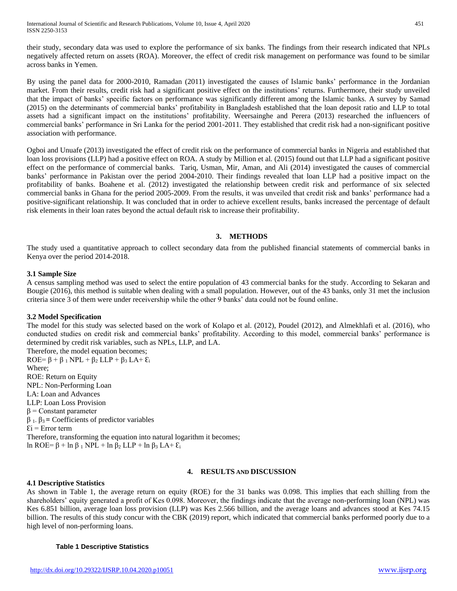their study, secondary data was used to explore the performance of six banks. The findings from their research indicated that NPLs negatively affected return on assets (ROA). Moreover, the effect of credit risk management on performance was found to be similar across banks in Yemen.

By using the panel data for 2000-2010, Ramadan (2011) investigated the causes of Islamic banks' performance in the Jordanian market. From their results, credit risk had a significant positive effect on the institutions' returns. Furthermore, their study unveiled that the impact of banks' specific factors on performance was significantly different among the Islamic banks. A survey by Samad (2015) on the determinants of commercial banks' profitability in Bangladesh established that the loan deposit ratio and LLP to total assets had a significant impact on the institutions' profitability. Weersainghe and Perera (2013) researched the influencers of commercial banks' performance in Sri Lanka for the period 2001-2011. They established that credit risk had a non-significant positive association with performance.

Ogboi and Unuafe (2013) investigated the effect of credit risk on the performance of commercial banks in Nigeria and established that loan loss provisions (LLP) had a positive effect on ROA. A study by Million et al*.* (2015) found out that LLP had a significant positive effect on the performance of commercial banks. Tariq, Usman, Mir, Aman, and Ali (2014) investigated the causes of commercial banks' performance in Pakistan over the period 2004-2010. Their findings revealed that loan LLP had a positive impact on the profitability of banks. Boahene et al. (2012) investigated the relationship between credit risk and performance of six selected commercial banks in Ghana for the period 2005-2009. From the results, it was unveiled that credit risk and banks' performance had a positive-significant relationship. It was concluded that in order to achieve excellent results, banks increased the percentage of default risk elements in their loan rates beyond the actual default risk to increase their profitability.

## **3. METHODS**

The study used a quantitative approach to collect secondary data from the published financial statements of commercial banks in Kenya over the period 2014-2018.

### **3.1 Sample Size**

A census sampling method was used to select the entire population of 43 commercial banks for the study. According to Sekaran and Bougie (2016), this method is suitable when dealing with a small population. However, out of the 43 banks, only 31 met the inclusion criteria since 3 of them were under receivership while the other 9 banks' data could not be found online.

## **3.2 Model Specification**

The model for this study was selected based on the work of Kolapo et al. (2012), Poudel (2012), and Almekhlafi et al. (2016), who conducted studies on credit risk and commercial banks' profitability. According to this model, commercial banks' performance is determined by credit risk variables, such as NPLs, LLP, and LA.

Therefore, the model equation becomes;  $ROE = \beta + \beta_1 NPL + \beta_2 LLP + \beta_3 LA + \varepsilon_i$ Where; ROE: Return on Equity NPL: Non-Performing Loan LA: Loan and Advances LLP: Loan Loss Provision  $β =$ Constant parameter β 1- β3 **=** Coefficients of predictor variables  $Ei = Error term$ Therefore, transforming the equation into natural logarithm it becomes; ln ROE= β + ln β <sub>1</sub> NPL + ln β<sub>2</sub> LLP + ln β<sub>3</sub> LA+  $\mathcal{E}_i$ 

## **4. RESULTS AND DISCUSSION**

#### **4.1 Descriptive Statistics**

As shown in Table 1, the average return on equity (ROE) for the 31 banks was 0.098. This implies that each shilling from the shareholders' equity generated a profit of Kes 0.098. Moreover, the findings indicate that the average non-performing loan (NPL) was Kes 6.851 billion, average loan loss provision (LLP) was Kes 2.566 billion, and the average loans and advances stood at Kes 74.15 billion. The results of this study concur with the CBK (2019) report, which indicated that commercial banks performed poorly due to a high level of non-performing loans.

#### **Table 1 Descriptive Statistics**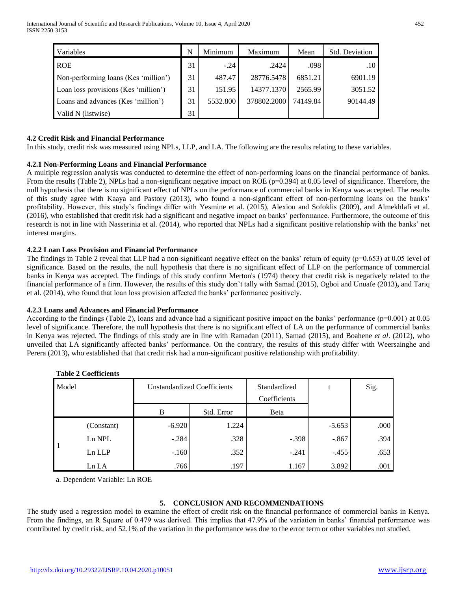| Variables                            | N  | Minimum  | Maximum     | Mean     | <b>Std. Deviation</b> |
|--------------------------------------|----|----------|-------------|----------|-----------------------|
| <b>ROE</b>                           | 31 | $-.24$   | .2424       | .098     | .10 <sup>°</sup>      |
| Non-performing loans (Kes 'million') | 31 | 487.47   | 28776.5478  | 6851.21  | 6901.19               |
| Loan loss provisions (Kes 'million') | 31 | 151.95   | 14377.1370  | 2565.99  | 3051.52               |
| Loans and advances (Kes 'million')   | 31 | 5532.800 | 378802.2000 | 74149.84 | 90144.49              |
| Valid N (listwise)                   | 31 |          |             |          |                       |

### **4.2 Credit Risk and Financial Performance**

In this study, credit risk was measured using NPLs, LLP, and LA. The following are the results relating to these variables.

### **4.2.1 Non-Performing Loans and Financial Performance**

A multiple regression analysis was conducted to determine the effect of non-performing loans on the financial performance of banks. From the results (Table 2), NPLs had a non-significant negative impact on ROE (p=0.394) at 0.05 level of significance. Therefore, the null hypothesis that there is no significant effect of NPLs on the performance of commercial banks in Kenya was accepted. The results of this study agree with Kaaya and Pastory (2013), who found a non-signficant effect of non-performing loans on the banks' profitability. However, this study's findings differ with Yesmine et al. (2015), Alexiou and Sofoklis (2009), and Almekhlafi et al. (2016), who established that credit risk had a significant and negative impact on banks' performance. Furthermore, the outcome of this research is not in line with Nasserinia et al. (2014), who reported that NPLs had a significant positive relationship with the banks' net interest margins.

### **4.2.2 Loan Loss Provision and Financial Performance**

The findings in Table 2 reveal that LLP had a non-significant negative effect on the banks' return of equity  $(p=0.653)$  at 0.05 level of significance. Based on the results, the null hypothesis that there is no significant effect of LLP on the performance of commercial banks in Kenya was accepted. The findings of this study confirm Merton's (1974) theory that credit risk is negatively related to the financial performance of a firm. However, the results of this study don't tally with Samad (2015), Ogboi and Unuafe (2013)**,** and Tariq et al. (2014), who found that loan loss provision affected the banks' performance positively.

#### **4.2.3 Loans and Advances and Financial Performance**

According to the findings (Table 2), loans and advance had a significant positive impact on the banks' performance (p=0.001) at 0.05 level of significance. Therefore, the null hypothesis that there is no significant effect of LA on the performance of commercial banks in Kenya was rejected. The findings of this study are in line with Ramadan (2011), Samad (2015), and Boahene *et al*. (2012), who unveiled that LA significantly affected banks' performance. On the contrary, the results of this study differ with Weersainghe and Perera (2013), who established that that credit risk had a non-significant positive relationship with profitability.

| Model |            |          | <b>Unstandardized Coefficients</b> | Standardized<br>Coefficients | t        | Sig. |
|-------|------------|----------|------------------------------------|------------------------------|----------|------|
|       |            | B        | Std. Error                         | Beta                         |          |      |
|       | (Constant) | $-6.920$ | 1.224                              |                              | $-5.653$ | .000 |
|       | Ln NPL     | $-.284$  | .328                               | $-.398$                      | $-.867$  | .394 |
|       | Ln LLP     | $-.160$  | .352                               | $-.241$                      | $-.455$  | .653 |
|       | Ln LA      | .766     | .197                               | 1.167                        | 3.892    | .001 |

#### **Table 2 Coefficients**

a. Dependent Variable: Ln ROE

## **5. CONCLUSION AND RECOMMENDATIONS**

The study used a regression model to examine the effect of credit risk on the financial performance of commercial banks in Kenya. From the findings, an R Square of 0.479 was derived. This implies that 47.9% of the variation in banks' financial performance was contributed by credit risk, and 52.1% of the variation in the performance was due to the error term or other variables not studied.